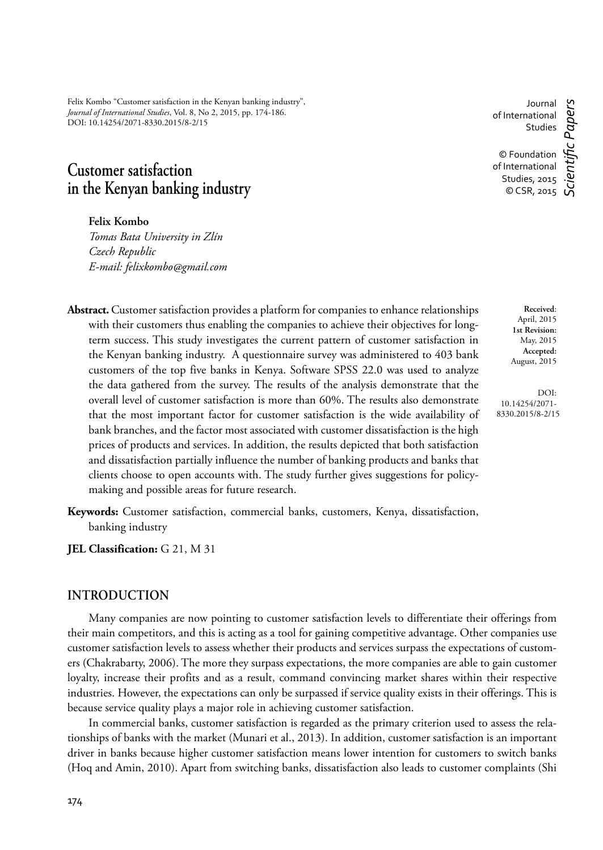Felix Kombo "Customer satisfaction in the Kenyan banking industry", *Journal of International Studies*, Vol. 8, No 2, 2015, pp. 174-186. DOI: 10.14254/2071-8330.2015/8-2/15

# **Customer satisfaction in the Kenyan banking industry**

**Felix Kombo**

*Tomas Bata University in Zlín Czech Republic E-mail: felixkombo@gmail.com*

- **Abstract.** Customer satisfaction provides a platform for companies to enhance relationships with their customers thus enabling the companies to achieve their objectives for longterm success. This study investigates the current pattern of customer satisfaction in the Kenyan banking industry. A questionnaire survey was administered to 403 bank customers of the top five banks in Kenya. Software SPSS 22.0 was used to analyze the data gathered from the survey. The results of the analysis demonstrate that the overall level of customer satisfaction is more than 60%. The results also demonstrate that the most important factor for customer satisfaction is the wide availability of bank branches, and the factor most associated with customer dissatisfaction is the high prices of products and services. In addition, the results depicted that both satisfaction and dissatisfaction partially influence the number of banking products and banks that clients choose to open accounts with. The study further gives suggestions for policymaking and possible areas for future research.
- **Keywords:** Customer satisfaction, commercial banks, customers, Kenya, dissatisfaction, banking industry
- **JEL Classification:** G 21, M 31

#### **INTRODUCTION**

Many companies are now pointing to customer satisfaction levels to differentiate their offerings from their main competitors, and this is acting as a tool for gaining competitive advantage. Other companies use customer satisfaction levels to assess whether their products and services surpass the expectations of customers (Chakrabarty, 2006). The more they surpass expectations, the more companies are able to gain customer loyalty, increase their profits and as a result, command convincing market shares within their respective industries. However, the expectations can only be surpassed if service quality exists in their offerings. This is because service quality plays a major role in achieving customer satisfaction.

In commercial banks, customer satisfaction is regarded as the primary criterion used to assess the relationships of banks with the market (Munari et al., 2013). In addition, customer satisfaction is an important driver in banks because higher customer satisfaction means lower intention for customers to switch banks (Hoq and Amin, 2010). Apart from switching banks, dissatisfaction also leads to customer complaints (Shi

Journal of International Studies © Foundation of International Studies, 2015  $\circ$  CSR, 2015  $\circ$ *Scientifi c Papers*

> **Received**: April, 2015 **1st Revision:** May, 2015 **Accepted:** August, 2015

DOI: 10.14254/2071- 8330.2015/8-2/15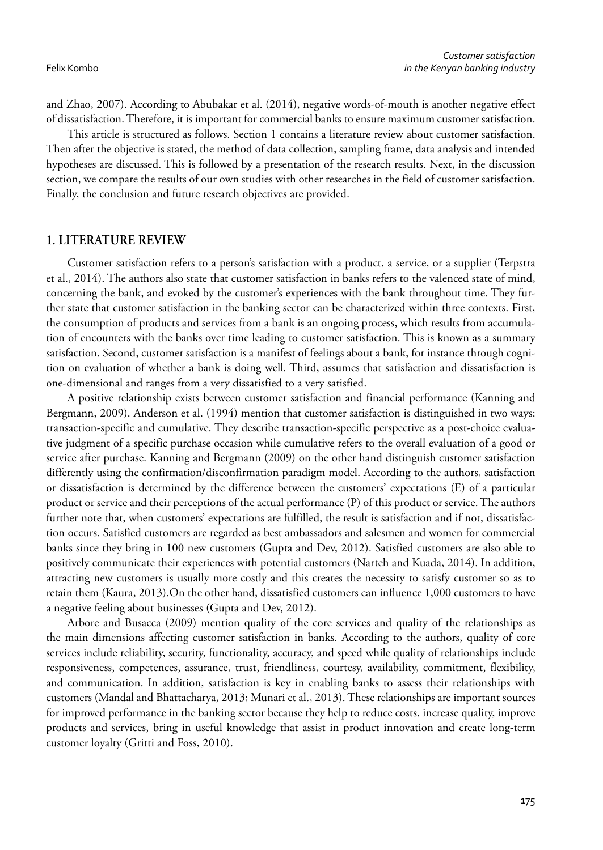and Zhao, 2007). According to Abubakar et al. (2014), negative words-of-mouth is another negative effect of dissatisfaction. Therefore, it is important for commercial banks to ensure maximum customer satisfaction.

This article is structured as follows. Section 1 contains a literature review about customer satisfaction. Then after the objective is stated, the method of data collection, sampling frame, data analysis and intended hypotheses are discussed. This is followed by a presentation of the research results. Next, in the discussion section, we compare the results of our own studies with other researches in the field of customer satisfaction. Finally, the conclusion and future research objectives are provided.

### **1. LITERATURE REVIEW**

Customer satisfaction refers to a person's satisfaction with a product, a service, or a supplier (Terpstra et al., 2014). The authors also state that customer satisfaction in banks refers to the valenced state of mind, concerning the bank, and evoked by the customer's experiences with the bank throughout time. They further state that customer satisfaction in the banking sector can be characterized within three contexts. First, the consumption of products and services from a bank is an ongoing process, which results from accumulation of encounters with the banks over time leading to customer satisfaction. This is known as a summary satisfaction. Second, customer satisfaction is a manifest of feelings about a bank, for instance through cognition on evaluation of whether a bank is doing well. Third, assumes that satisfaction and dissatisfaction is one-dimensional and ranges from a very dissatisfied to a very satisfied.

A positive relationship exists between customer satisfaction and financial performance (Kanning and Bergmann, 2009). Anderson et al. (1994) mention that customer satisfaction is distinguished in two ways: transaction-specific and cumulative. They describe transaction-specific perspective as a post-choice evaluative judgment of a specific purchase occasion while cumulative refers to the overall evaluation of a good or service after purchase. Kanning and Bergmann (2009) on the other hand distinguish customer satisfaction differently using the confirmation/disconfirmation paradigm model. According to the authors, satisfaction or dissatisfaction is determined by the difference between the customers' expectations (E) of a particular product or service and their perceptions of the actual performance (P) of this product or service. The authors further note that, when customers' expectations are fulfilled, the result is satisfaction and if not, dissatisfaction occurs. Satisfied customers are regarded as best ambassadors and salesmen and women for commercial banks since they bring in 100 new customers (Gupta and Dev, 2012). Satisfied customers are also able to positively communicate their experiences with potential customers (Narteh and Kuada, 2014). In addition, attracting new customers is usually more costly and this creates the necessity to satisfy customer so as to retain them (Kaura, 2013).On the other hand, dissatisfied customers can influence 1,000 customers to have a negative feeling about businesses (Gupta and Dev, 2012).

Arbore and Busacca (2009) mention quality of the core services and quality of the relationships as the main dimensions affecting customer satisfaction in banks. According to the authors, quality of core services include reliability, security, functionality, accuracy, and speed while quality of relationships include responsiveness, competences, assurance, trust, friendliness, courtesy, availability, commitment, flexibility, and communication. In addition, satisfaction is key in enabling banks to assess their relationships with customers (Mandal and Bhattacharya, 2013; Munari et al., 2013). These relationships are important sources for improved performance in the banking sector because they help to reduce costs, increase quality, improve products and services, bring in useful knowledge that assist in product innovation and create long-term customer loyalty (Gritti and Foss, 2010).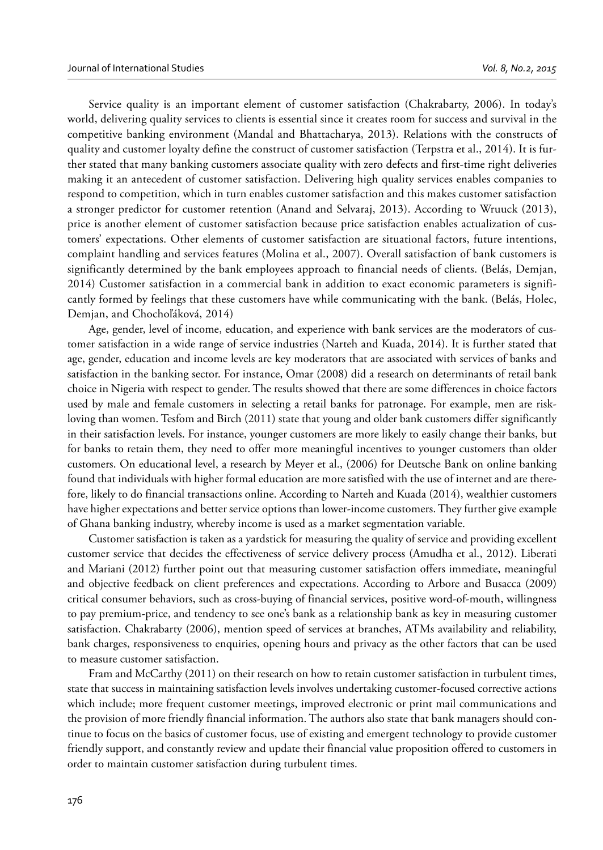Service quality is an important element of customer satisfaction (Chakrabarty, 2006). In today's world, delivering quality services to clients is essential since it creates room for success and survival in the competitive banking environment (Mandal and Bhattacharya, 2013). Relations with the constructs of quality and customer loyalty define the construct of customer satisfaction (Terpstra et al., 2014). It is further stated that many banking customers associate quality with zero defects and first-time right deliveries making it an antecedent of customer satisfaction. Delivering high quality services enables companies to respond to competition, which in turn enables customer satisfaction and this makes customer satisfaction a stronger predictor for customer retention (Anand and Selvaraj, 2013). According to Wruuck (2013), price is another element of customer satisfaction because price satisfaction enables actualization of customers' expectations. Other elements of customer satisfaction are situational factors, future intentions, complaint handling and services features (Molina et al., 2007). Overall satisfaction of bank customers is significantly determined by the bank employees approach to financial needs of clients. (Belás, Demjan, 2014) Customer satisfaction in a commercial bank in addition to exact economic parameters is significantly formed by feelings that these customers have while communicating with the bank. (Belás, Holec, Demjan, and Chochoľáková, 2014)

Age, gender, level of income, education, and experience with bank services are the moderators of customer satisfaction in a wide range of service industries (Narteh and Kuada, 2014). It is further stated that age, gender, education and income levels are key moderators that are associated with services of banks and satisfaction in the banking sector. For instance, Omar (2008) did a research on determinants of retail bank choice in Nigeria with respect to gender. The results showed that there are some differences in choice factors used by male and female customers in selecting a retail banks for patronage. For example, men are riskloving than women. Tesfom and Birch (2011) state that young and older bank customers differ significantly in their satisfaction levels. For instance, younger customers are more likely to easily change their banks, but for banks to retain them, they need to offer more meaningful incentives to younger customers than older customers. On educational level, a research by Meyer et al., (2006) for Deutsche Bank on online banking found that individuals with higher formal education are more satisfied with the use of internet and are therefore, likely to do financial transactions online. According to Narteh and Kuada (2014), wealthier customers have higher expectations and better service options than lower-income customers. They further give example of Ghana banking industry, whereby income is used as a market segmentation variable.

Customer satisfaction is taken as a yardstick for measuring the quality of service and providing excellent customer service that decides the effectiveness of service delivery process (Amudha et al., 2012). Liberati and Mariani (2012) further point out that measuring customer satisfaction offers immediate, meaningful and objective feedback on client preferences and expectations. According to Arbore and Busacca (2009) critical consumer behaviors, such as cross-buying of financial services, positive word-of-mouth, willingness to pay premium-price, and tendency to see one's bank as a relationship bank as key in measuring customer satisfaction. Chakrabarty (2006), mention speed of services at branches, ATMs availability and reliability, bank charges, responsiveness to enquiries, opening hours and privacy as the other factors that can be used to measure customer satisfaction.

Fram and McCarthy (2011) on their research on how to retain customer satisfaction in turbulent times, state that success in maintaining satisfaction levels involves undertaking customer-focused corrective actions which include; more frequent customer meetings, improved electronic or print mail communications and the provision of more friendly financial information. The authors also state that bank managers should continue to focus on the basics of customer focus, use of existing and emergent technology to provide customer friendly support, and constantly review and update their financial value proposition offered to customers in order to maintain customer satisfaction during turbulent times.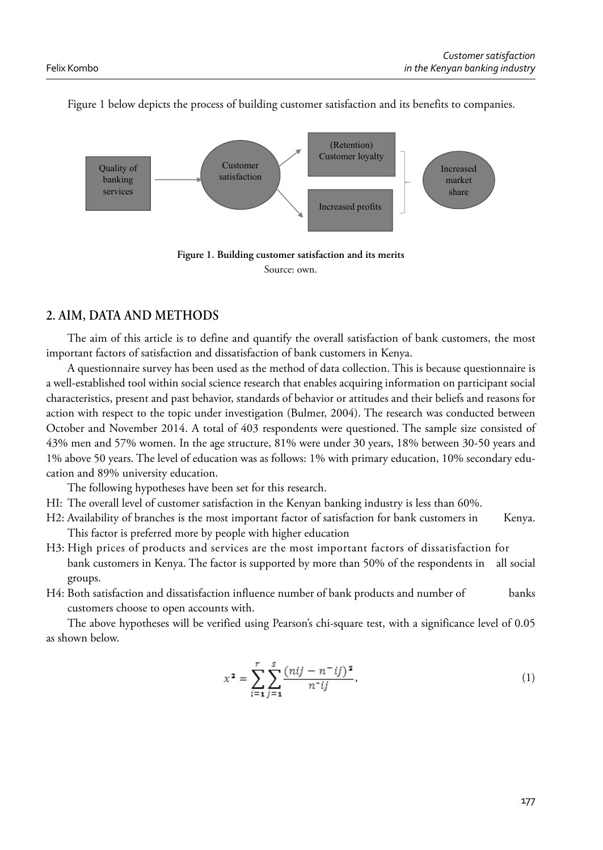

Figure 1 below depicts the process of building customer satisfaction and its benefits to companies.



## **2. AIM, DATA AND METHODS**

The aim of this article is to define and quantify the overall satisfaction of bank customers, the most important factors of satisfaction and dissatisfaction of bank customers in Kenya.

A questionnaire survey has been used as the method of data collection. This is because questionnaire is a well-established tool within social science research that enables acquiring information on participant social characteristics, present and past behavior, standards of behavior or attitudes and their beliefs and reasons for action with respect to the topic under investigation (Bulmer, 2004). The research was conducted between October and November 2014. A total of 403 respondents were questioned. The sample size consisted of 43% men and 57% women. In the age structure, 81% were under 30 years, 18% between 30-50 years and 1% above 50 years. The level of education was as follows: 1% with primary education, 10% secondary education and 89% university education.

The following hypotheses have been set for this research.

- HI: The overall level of customer satisfaction in the Kenyan banking industry is less than 60%.
- H2: Availability of branches is the most important factor of satisfaction for bank customers in Kenya. This factor is preferred more by people with higher education
- H3: High prices of products and services are the most important factors of dissatisfaction for bank customers in Kenya. The factor is supported by more than 50% of the respondents in all social groups.
- H4: Both satisfaction and dissatisfaction influence number of bank products and number of banks customers choose to open accounts with.

The above hypotheses will be verified using Pearson's chi-square test, with a significance level of 0.05 as shown below.

$$
x^2 = \sum_{i=1}^r \sum_{j=1}^s \frac{(nij - n^-ij)^2}{n^-ij},\tag{1}
$$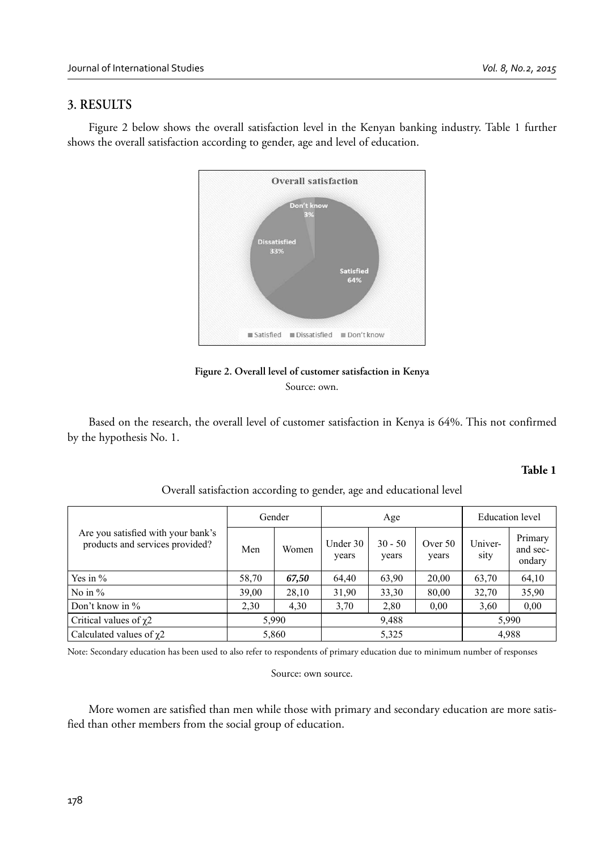### **3. RESULTS**

Figure 2 below shows the overall satisfaction level in the Kenyan banking industry. Table 1 further shows the overall satisfaction according to gender, age and level of education.



**Figure 2. Overall level of customer satisfaction in Kenya** Source: own.

Based on the research, the overall level of customer satisfaction in Kenya is 64%. This not confirmed by the hypothesis No. 1.

#### **Table 1**

|                                                                       | Gender |       | Age               |                    |                    | <b>Education</b> level |                               |
|-----------------------------------------------------------------------|--------|-------|-------------------|--------------------|--------------------|------------------------|-------------------------------|
| Are you satisfied with your bank's<br>products and services provided? | Men    | Women | Under 30<br>years | $30 - 50$<br>years | Over $50$<br>years | Univer-<br>sity        | Primary<br>and sec-<br>ondary |
| Yes in $%$                                                            | 58,70  | 67,50 | 64,40             | 63,90              | 20,00              | 63,70                  | 64,10                         |
| No in $%$                                                             | 39,00  | 28,10 | 31,90             | 33,30              | 80,00              | 32,70                  | 35,90                         |
| Don't know in $\%$                                                    | 2,30   | 4,30  | 3.70              | 2,80               | 0.00               | 3,60                   | 0.00                          |
| Critical values of $\gamma$ 2                                         | 5,990  |       | 9,488             |                    |                    | 5,990                  |                               |
| Calculated values of $\gamma$ 2                                       | 5,860  |       | 5,325             |                    |                    | 4,988                  |                               |

Overall satisfaction according to gender, age and educational level

Note: Secondary education has been used to also refer to respondents of primary education due to minimum number of responses

#### Source: own source.

More women are satisfied than men while those with primary and secondary education are more satisfied than other members from the social group of education.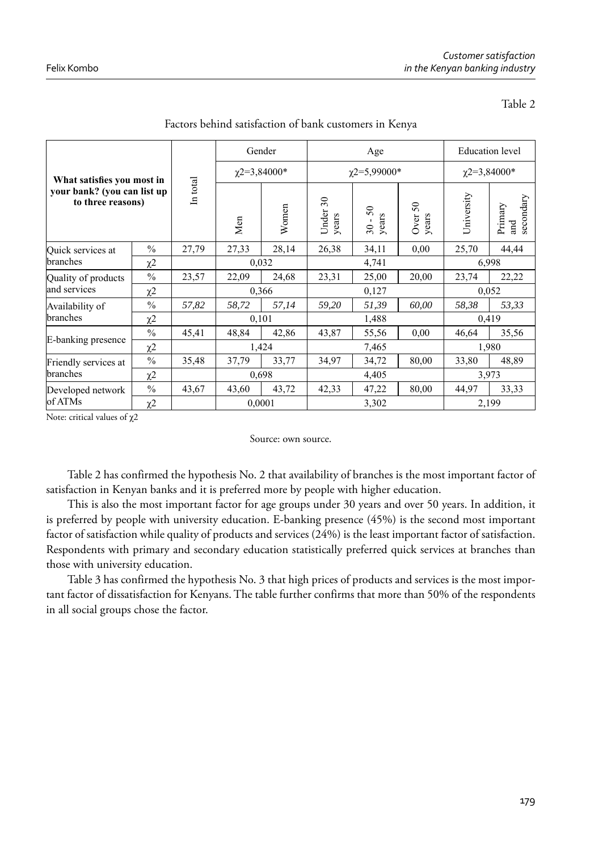#### Table 2

| What satisfies you most in<br>your bank? (you can list up<br>to three reasons) |               | In total | Gender            |       | Age                               |                    |                  | <b>Education</b> level |                             |
|--------------------------------------------------------------------------------|---------------|----------|-------------------|-------|-----------------------------------|--------------------|------------------|------------------------|-----------------------------|
|                                                                                |               |          | $\chi$ 2=3,84000* |       | $\gamma$ 2=5,99000*               |                    |                  | $\chi$ 2=3,84000*      |                             |
|                                                                                |               |          | Men               | Women | $\mathfrak{S}0$<br>Under<br>years | $30 - 50$<br>years | Over 50<br>years | University             | secondary<br>Primary<br>and |
| Quick services at<br>branches                                                  | $\frac{0}{0}$ | 27,79    | 27,33             | 28,14 | 26,38                             | 34,11              | 0,00             | 25,70                  | 44,44                       |
|                                                                                | χ2            |          | 0,032             |       | 4,741                             |                    |                  | 6,998                  |                             |
| Quality of products<br>and services                                            | $\frac{0}{0}$ | 23,57    | 22,09             | 24,68 | 23,31                             | 25,00              | 20,00            | 23,74                  | 22,22                       |
|                                                                                | $\chi$ 2      |          | 0,366             |       | 0,127                             |                    |                  | 0,052                  |                             |
| Availability of<br>branches                                                    | $\frac{0}{0}$ | 57,82    | 58,72             | 57,14 | 59,20                             | 51,39              | 60,00            | 58,38                  | 53,33                       |
|                                                                                | $\chi$ 2      |          | 0,101             |       | 1,488                             |                    |                  | 0,419                  |                             |
| E-banking presence                                                             | $\frac{0}{0}$ | 45,41    | 48,84             | 42,86 | 43,87                             | 55,56              | 0,00             | 46,64                  | 35,56                       |
|                                                                                | $\chi$ 2      |          | 1,424             |       | 7,465                             |                    |                  | 1,980                  |                             |
| Friendly services at<br>branches                                               | $\frac{0}{0}$ | 35,48    | 37,79             | 33,77 | 34,97                             | 34,72              | 80,00            | 33,80                  | 48,89                       |
|                                                                                | χ2            |          | 0,698             |       | 4,405                             |                    | 3,973            |                        |                             |
| Developed network<br>of ATMs                                                   | $\frac{0}{0}$ | 43,67    | 43,60             | 43,72 | 42,33                             | 47,22              | 80,00            | 44,97                  | 33,33                       |
|                                                                                | χ2            |          | 0,0001            |       | 3,302                             |                    |                  | 2,199                  |                             |

Factors behind satisfaction of bank customers in Kenya

Note: critical values of χ2

Source: own source.

Table 2 has confirmed the hypothesis No. 2 that availability of branches is the most important factor of satisfaction in Kenyan banks and it is preferred more by people with higher education.

This is also the most important factor for age groups under 30 years and over 50 years. In addition, it is preferred by people with university education. E-banking presence (45%) is the second most important factor of satisfaction while quality of products and services (24%) is the least important factor of satisfaction. Respondents with primary and secondary education statistically preferred quick services at branches than those with university education.

Table 3 has confirmed the hypothesis No. 3 that high prices of products and services is the most important factor of dissatisfaction for Kenyans. The table further confirms that more than 50% of the respondents in all social groups chose the factor.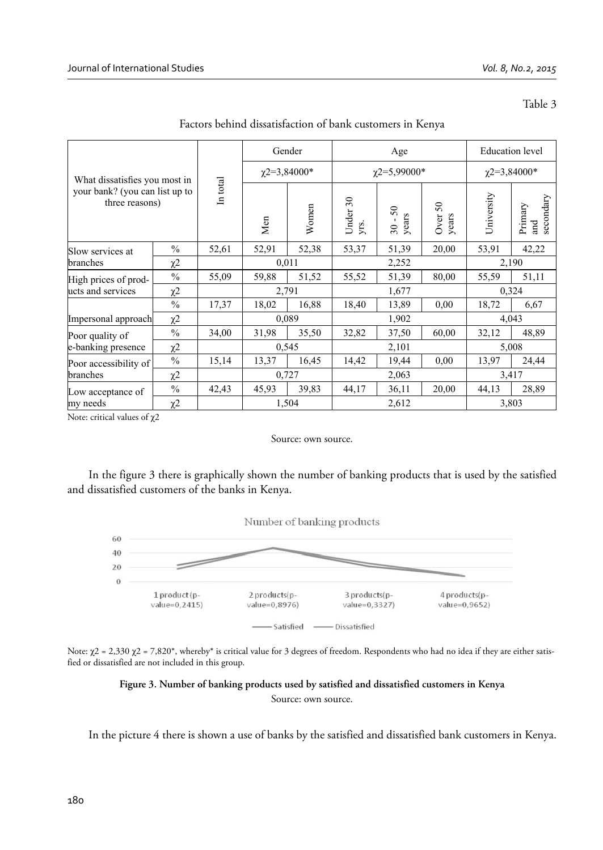| v<br>۰, |  |
|---------|--|
|---------|--|

|                                                  |                     |          | Gender              |       | Age                        |                   |                         | <b>Education</b> level                    |       |
|--------------------------------------------------|---------------------|----------|---------------------|-------|----------------------------|-------------------|-------------------------|-------------------------------------------|-------|
| What dissatisfies you most in                    |                     |          | $\gamma$ 2=3,84000* |       | $\gamma$ 2=5,99000*        |                   |                         | $\chi$ 2=3,84000*                         |       |
| your bank? (you can list up to<br>three reasons) |                     | In total | Men                 | Women | $\approx$<br>Under<br>yrs. | 50<br>years<br>30 | $50\,$<br>Over<br>years | University<br>secondary<br>Primary<br>and |       |
| Slow services at                                 | $\frac{0}{0}$       | 52,61    | 52,91               | 52,38 | 53,37                      | 51,39             | 20,00                   | 53,91                                     | 42,22 |
| branches                                         | $\chi$ 2            |          | 0,011               |       | 2,252                      |                   |                         | 2,190                                     |       |
| High prices of prod-<br>lucts and services       | $\frac{0}{0}$       | 55,09    | 59,88               | 51,52 | 55,52                      | 51,39             | 80,00                   | 55,59                                     | 51,11 |
|                                                  | $\chi$ 2            |          | 2,791               |       | 1,677                      |                   |                         | 0,324                                     |       |
|                                                  | $\frac{0}{0}$       | 17,37    | 18,02               | 16,88 | 18,40                      | 13,89             | 0.00                    | 18,72                                     | 6,67  |
| Impersonal approach                              | $\chi$ 2            |          | 0,089               |       | 1,902                      |                   |                         | 4,043                                     |       |
| Poor quality of<br>e-banking presence            | $\frac{0}{0}$       | 34,00    | 31,98               | 35,50 | 32,82                      | 37,50             | 60,00                   | 32,12                                     | 48,89 |
|                                                  | $\chi$ <sup>2</sup> |          | 0,545               |       | 2,101                      |                   |                         | 5,008                                     |       |
| Poor accessibility of<br>branches                | $\frac{0}{0}$       | 15,14    | 13,37               | 16,45 | 14,42                      | 19,44             | 0.00                    | 13,97                                     | 24,44 |
|                                                  | χ2                  |          | 0,727               |       | 2,063                      |                   | 3,417                   |                                           |       |
| Low acceptance of<br>my needs                    | $\frac{0}{0}$       | 42,43    | 45,93               | 39,83 | 44,17                      | 36,11             | 20,00                   | 44,13                                     | 28,89 |
|                                                  | $\chi$ <sup>2</sup> |          | 1,504               |       | 2,612                      |                   |                         | 3,803                                     |       |

Factors behind dissatisfaction of bank customers in Kenya

Note: critical values of χ2

#### Source: own source.

In the figure 3 there is graphically shown the number of banking products that is used by the satisfied and dissatisfied customers of the banks in Kenya.



Note:  $χ$ 2 = 2,330  $χ$ 2 = 7,820\*, whereby\* is critical value for 3 degrees of freedom. Respondents who had no idea if they are either satisfied or dissatisfied are not included in this group.

## **Figure 3. Number of banking products used by satisfied and dissatisfied customers in Kenya**

Source: own source.

In the picture 4 there is shown a use of banks by the satisfied and dissatisfied bank customers in Kenya.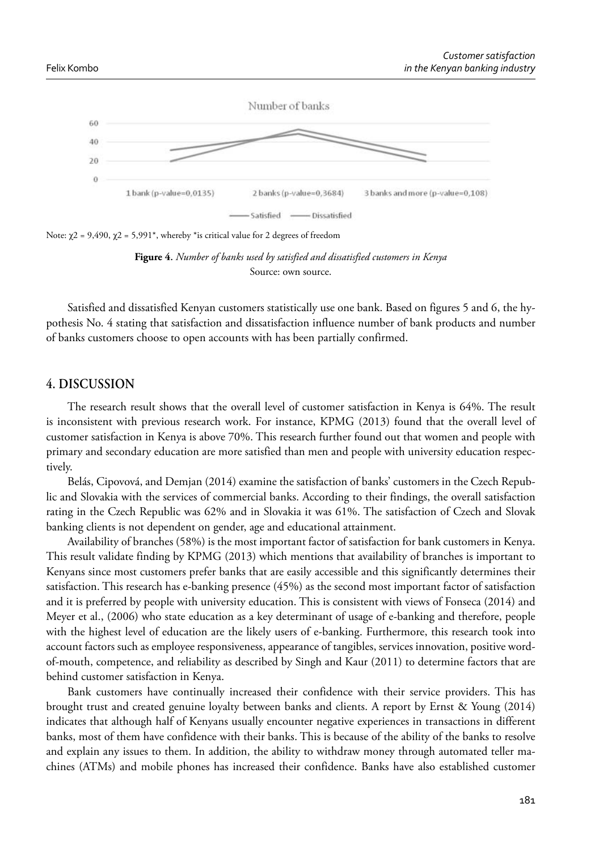

Note:  $χ$ 2 = 9,490,  $χ$ 2 = 5,991<sup>\*</sup>, whereby <sup>\*</sup>is critical value for 2 degrees of freedom



Satisfied and dissatisfied Kenyan customers statistically use one bank. Based on figures 5 and 6, the hypothesis No. 4 stating that satisfaction and dissatisfaction influence number of bank products and number of banks customers choose to open accounts with has been partially confirmed.

### **4. DISCUSSION**

The research result shows that the overall level of customer satisfaction in Kenya is 64%. The result is inconsistent with previous research work. For instance, KPMG (2013) found that the overall level of customer satisfaction in Kenya is above 70%. This research further found out that women and people with primary and secondary education are more satisfied than men and people with university education respectively.

Belás, Cipovová, and Demjan (2014) examine the satisfaction of banks' customers in the Czech Republic and Slovakia with the services of commercial banks. According to their findings, the overall satisfaction rating in the Czech Republic was 62% and in Slovakia it was 61%. The satisfaction of Czech and Slovak banking clients is not dependent on gender, age and educational attainment.

Availability of branches (58%) is the most important factor of satisfaction for bank customers in Kenya. This result validate finding by KPMG (2013) which mentions that availability of branches is important to Kenyans since most customers prefer banks that are easily accessible and this significantly determines their satisfaction. This research has e-banking presence (45%) as the second most important factor of satisfaction and it is preferred by people with university education. This is consistent with views of Fonseca (2014) and Meyer et al., (2006) who state education as a key determinant of usage of e-banking and therefore, people with the highest level of education are the likely users of e-banking. Furthermore, this research took into account factors such as employee responsiveness, appearance of tangibles, services innovation, positive wordof‐mouth, competence, and reliability as described by Singh and Kaur (2011) to determine factors that are behind customer satisfaction in Kenya.

Bank customers have continually increased their confidence with their service providers. This has brought trust and created genuine loyalty between banks and clients. A report by Ernst & Young (2014) indicates that although half of Kenyans usually encounter negative experiences in transactions in different banks, most of them have confidence with their banks. This is because of the ability of the banks to resolve and explain any issues to them. In addition, the ability to withdraw money through automated teller machines (ATMs) and mobile phones has increased their confidence. Banks have also established customer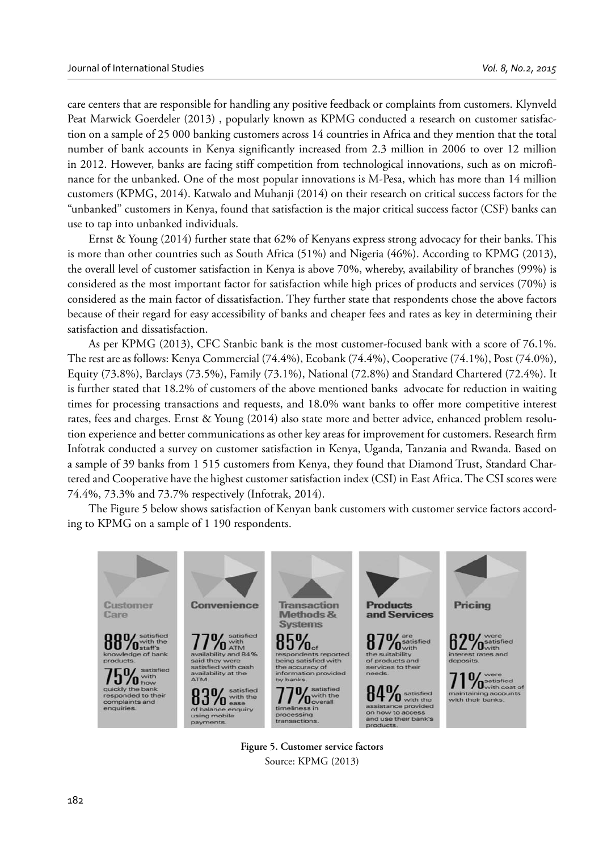care centers that are responsible for handling any positive feedback or complaints from customers. Klynveld Peat Marwick Goerdeler (2013) , popularly known as KPMG conducted a research on customer satisfaction on a sample of 25 000 banking customers across 14 countries in Africa and they mention that the total number of bank accounts in Kenya significantly increased from 2.3 million in 2006 to over 12 million in 2012. However, banks are facing stiff competition from technological innovations, such as on microfinance for the unbanked. One of the most popular innovations is M-Pesa, which has more than 14 million customers (KPMG, 2014). Katwalo and Muhanji (2014) on their research on critical success factors for the "unbanked" customers in Kenya, found that satisfaction is the major critical success factor (CSF) banks can use to tap into unbanked individuals.

Ernst & Young (2014) further state that 62% of Kenyans express strong advocacy for their banks. This is more than other countries such as South Africa (51%) and Nigeria (46%). According to KPMG (2013), the overall level of customer satisfaction in Kenya is above 70%, whereby, availability of branches (99%) is considered as the most important factor for satisfaction while high prices of products and services (70%) is considered as the main factor of dissatisfaction. They further state that respondents chose the above factors because of their regard for easy accessibility of banks and cheaper fees and rates as key in determining their satisfaction and dissatisfaction.

As per KPMG (2013), CFC Stanbic bank is the most customer-focused bank with a score of 76.1%. The rest are as follows: Kenya Commercial (74.4%), Ecobank (74.4%), Cooperative (74.1%), Post (74.0%), Equity (73.8%), Barclays (73.5%), Family (73.1%), National (72.8%) and Standard Chartered (72.4%). It is further stated that 18.2% of customers of the above mentioned banks advocate for reduction in waiting times for processing transactions and requests, and 18.0% want banks to offer more competitive interest rates, fees and charges. Ernst & Young (2014) also state more and better advice, enhanced problem resolution experience and better communications as other key areas for improvement for customers. Research firm Infotrak conducted a survey on customer satisfaction in Kenya, Uganda, Tanzania and Rwanda. Based on a sample of 39 banks from 1 515 customers from Kenya, they found that Diamond Trust, Standard Chartered and Cooperative have the highest customer satisfaction index (CSI) in East Africa. The CSI scores were 74.4%, 73.3% and 73.7% respectively (Infotrak, 2014).

The Figure 5 below shows satisfaction of Kenyan bank customers with customer service factors according to KPMG on a sample of 1 190 respondents.



**Figure 5. Customer service factors** Source: KPMG (2013)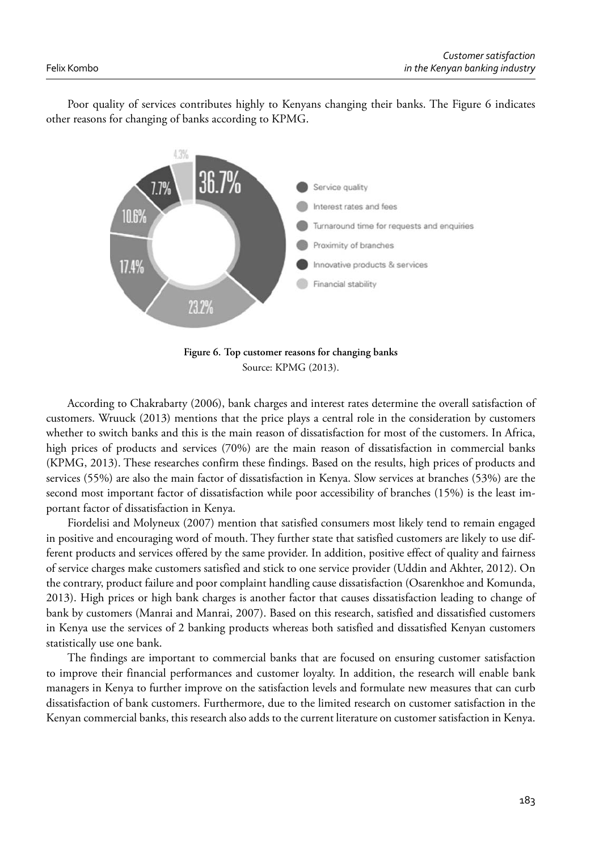Poor quality of services contributes highly to Kenyans changing their banks. The Figure 6 indicates other reasons for changing of banks according to KPMG.



**Figure 6. Top customer reasons for changing banks** Source: KPMG (2013).

According to Chakrabarty (2006), bank charges and interest rates determine the overall satisfaction of customers. Wruuck (2013) mentions that the price plays a central role in the consideration by customers whether to switch banks and this is the main reason of dissatisfaction for most of the customers. In Africa, high prices of products and services (70%) are the main reason of dissatisfaction in commercial banks (KPMG, 2013). These researches confirm these findings. Based on the results, high prices of products and services (55%) are also the main factor of dissatisfaction in Kenya. Slow services at branches (53%) are the second most important factor of dissatisfaction while poor accessibility of branches (15%) is the least important factor of dissatisfaction in Kenya.

Fiordelisi and Molyneux (2007) mention that satisfied consumers most likely tend to remain engaged in positive and encouraging word of mouth. They further state that satisfied customers are likely to use different products and services offered by the same provider. In addition, positive effect of quality and fairness of service charges make customers satisfied and stick to one service provider (Uddin and Akhter, 2012). On the contrary, product failure and poor complaint handling cause dissatisfaction (Osarenkhoe and Komunda, 2013). High prices or high bank charges is another factor that causes dissatisfaction leading to change of bank by customers (Manrai and Manrai, 2007). Based on this research, satisfied and dissatisfied customers in Kenya use the services of 2 banking products whereas both satisfied and dissatisfied Kenyan customers statistically use one bank.

The findings are important to commercial banks that are focused on ensuring customer satisfaction to improve their financial performances and customer loyalty. In addition, the research will enable bank managers in Kenya to further improve on the satisfaction levels and formulate new measures that can curb dissatisfaction of bank customers. Furthermore, due to the limited research on customer satisfaction in the Kenyan commercial banks, this research also adds to the current literature on customer satisfaction in Kenya.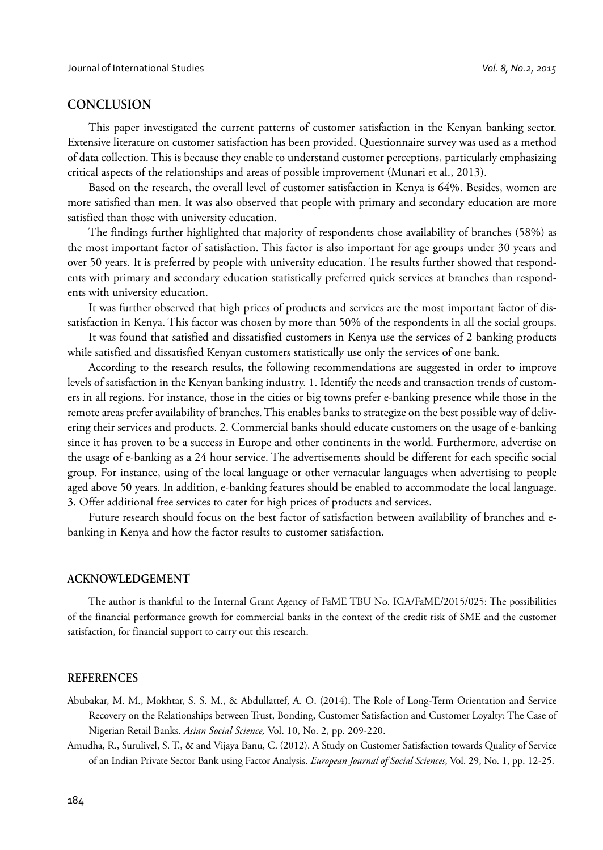#### **CONCLUSION**

This paper investigated the current patterns of customer satisfaction in the Kenyan banking sector. Extensive literature on customer satisfaction has been provided. Questionnaire survey was used as a method of data collection. This is because they enable to understand customer perceptions, particularly emphasizing critical aspects of the relationships and areas of possible improvement (Munari et al., 2013).

Based on the research, the overall level of customer satisfaction in Kenya is 64%. Besides, women are more satisfied than men. It was also observed that people with primary and secondary education are more satisfied than those with university education.

The findings further highlighted that majority of respondents chose availability of branches (58%) as the most important factor of satisfaction. This factor is also important for age groups under 30 years and over 50 years. It is preferred by people with university education. The results further showed that respondents with primary and secondary education statistically preferred quick services at branches than respondents with university education.

It was further observed that high prices of products and services are the most important factor of dissatisfaction in Kenya. This factor was chosen by more than 50% of the respondents in all the social groups.

It was found that satisfied and dissatisfied customers in Kenya use the services of 2 banking products while satisfied and dissatisfied Kenyan customers statistically use only the services of one bank.

According to the research results, the following recommendations are suggested in order to improve levels of satisfaction in the Kenyan banking industry. 1. Identify the needs and transaction trends of customers in all regions. For instance, those in the cities or big towns prefer e-banking presence while those in the remote areas prefer availability of branches. This enables banks to strategize on the best possible way of delivering their services and products. 2. Commercial banks should educate customers on the usage of e-banking since it has proven to be a success in Europe and other continents in the world. Furthermore, advertise on the usage of e-banking as a 24 hour service. The advertisements should be different for each specific social group. For instance, using of the local language or other vernacular languages when advertising to people aged above 50 years. In addition, e-banking features should be enabled to accommodate the local language. 3. Offer additional free services to cater for high prices of products and services.

Future research should focus on the best factor of satisfaction between availability of branches and ebanking in Kenya and how the factor results to customer satisfaction.

#### **ACKNOWLEDGEMENT**

The author is thankful to the Internal Grant Agency of FaME TBU No. IGA/FaME/2015/025: The possibilities of the financial performance growth for commercial banks in the context of the credit risk of SME and the customer satisfaction, for financial support to carry out this research.

#### **REFERENCES**

- Abubakar, M. M., Mokhtar, S. S. M., & Abdullattef, A. O. (2014). The Role of Long-Term Orientation and Service Recovery on the Relationships between Trust, Bonding, Customer Satisfaction and Customer Loyalty: The Case of Nigerian Retail Banks. *Asian Social Science,* Vol. 10, No. 2, pp. 209-220.
- Amudha, R., Surulivel, S. T., & and Vijaya Banu, C. (2012). A Study on Customer Satisfaction towards Quality of Service of an Indian Private Sector Bank using Factor Analysis. *European Journal of Social Sciences*, Vol. 29, No. 1, pp. 12-25.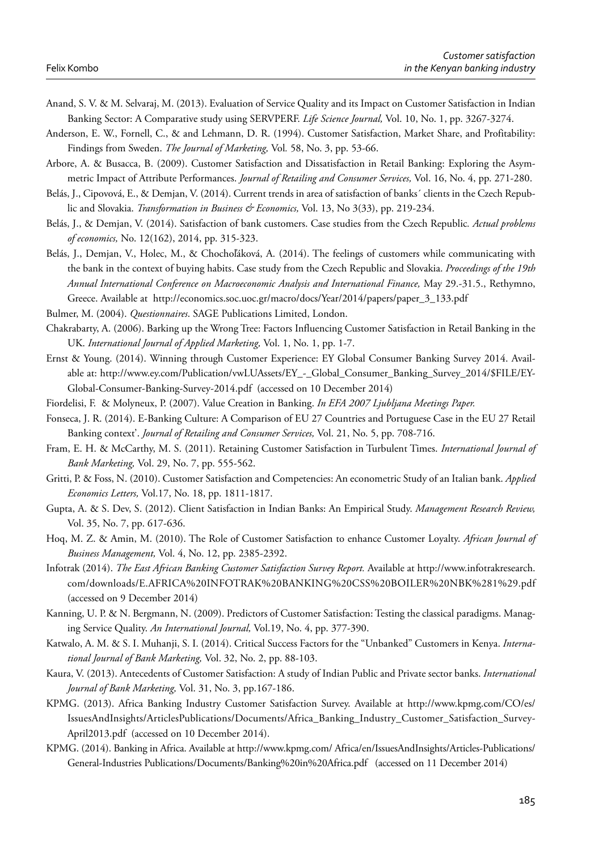- Anand, S. V. & M. Selvaraj, M. (2013). Evaluation of Service Quality and its Impact on Customer Satisfaction in Indian Banking Sector: A Comparative study using SERVPERF. *Life Science Journal,* Vol. 10, No. 1, pp. 3267-3274.
- Anderson, E. W., Fornell, C., & and Lehmann, D. R. (1994). Customer Satisfaction, Market Share, and Profitability: Findings from Sweden. *The Journal of Marketing,* Vol*.* 58, No. 3, pp. 53-66.
- Arbore, A. & Busacca, B. (2009). Customer Satisfaction and Dissatisfaction in Retail Banking: Exploring the Asymmetric Impact of Attribute Performances. *Journal of Retailing and Consumer Services,* Vol. 16, No. 4, pp. 271-280.
- Belás, J., Cipovová, E., & Demjan, V. (2014). Current trends in area of satisfaction of banks´ clients in the Czech Republic and Slovakia. *Transformation in Business & Economics,* Vol. 13, No 3(33), pp. 219-234.
- Belás, J., & Demjan, V. (2014). Satisfaction of bank customers. Case studies from the Czech Republic*. Actual problems of economics,* No. 12(162), 2014, pp. 315-323.
- Belás, J., Demjan, V., Holec, M., & Chochoľáková, A. (2014). The feelings of customers while communicating with the bank in the context of buying habits. Case study from the Czech Republic and Slovakia. *Proceedings of the 19th Annual International Conference on Macroeconomic Analysis and International Finance,* May 29.-31.5., Rethymno, Greece. Available at http://economics.soc.uoc.gr/macro/docs/Year/2014/papers/paper\_3\_133.pdf
- Bulmer, M. (2004). *Questionnaires*. SAGE Publications Limited, London.
- Chakrabarty, A. (2006). Barking up the Wrong Tree: Factors Influencing Customer Satisfaction in Retail Banking in the UK. *International Journal of Applied Marketing,* Vol. 1, No. 1, pp. 1-7.
- Ernst & Young. (2014). Winning through Customer Experience: EY Global Consumer Banking Survey 2014. Available at: http://www.ey.com/Publication/vwLUAssets/EY\_-\_Global\_Consumer\_Banking\_Survey\_2014/\$FILE/EY-Global-Consumer-Banking-Survey-2014.pdf (accessed on 10 December 2014)
- Fiordelisi, F. & Molyneux, P. (2007). Value Creation in Banking. *In EFA 2007 Ljubljana Meetings Paper.*
- Fonseca, J. R. (2014). E-Banking Culture: A Comparison of EU 27 Countries and Portuguese Case in the EU 27 Retail Banking context'. *Journal of Retailing and Consumer Services,* Vol. 21, No. 5, pp. 708-716.
- Fram, E. H. & McCarthy, M. S. (2011). Retaining Customer Satisfaction in Turbulent Times. *International Journal of Bank Marketing,* Vol. 29, No. 7, pp. 555-562.
- Gritti, P. & Foss, N. (2010). Customer Satisfaction and Competencies: An econometric Study of an Italian bank. *Applied Economics Letters,* Vol.17, No. 18, pp. 1811-1817.
- Gupta, A. & S. Dev, S. (2012). Client Satisfaction in Indian Banks: An Empirical Study. *Management Research Review,*  Vol. 35, No. 7, pp. 617-636.
- Hoq, M. Z. & Amin, M. (2010). The Role of Customer Satisfaction to enhance Customer Loyalty. *African Journal of Business Management,* Vol. 4, No. 12, pp. 2385-2392.
- Infotrak (2014). *The East African Banking Customer Satisfaction Survey Report.* Available at http://www.infotrakresearch. com/downloads/E.AFRICA%20INFOTRAK%20BANKING%20CSS%20BOILER%20NBK%281%29.pdf (accessed on 9 December 2014)
- Kanning, U. P. & N. Bergmann, N. (2009). Predictors of Customer Satisfaction: Testing the classical paradigms. Managing Service Quality. *An International Journal,* Vol.19, No. 4, pp. 377-390.
- Katwalo, A. M. & S. I. Muhanji, S. I. (2014). Critical Success Factors for the "Unbanked" Customers in Kenya. *International Journal of Bank Marketing,* Vol. 32, No. 2, pp. 88-103.
- Kaura, V. (2013). Antecedents of Customer Satisfaction: A study of Indian Public and Private sector banks. *International Journal of Bank Marketing,* Vol. 31, No. 3, pp.167-186.
- KPMG. (2013). Africa Banking Industry Customer Satisfaction Survey. Available at http://www.kpmg.com/CO/es/ IssuesAndInsights/ArticlesPublications/Documents/Africa\_Banking\_Industry\_Customer\_Satisfaction\_Survey-April2013.pdf (accessed on 10 December 2014).
- KPMG. (2014). Banking in Africa. Available at http://www.kpmg.com/ Africa/en/IssuesAndInsights/Articles-Publications/ General-Industries Publications/Documents/Banking%20in%20Africa.pdf (accessed on 11 December 2014)